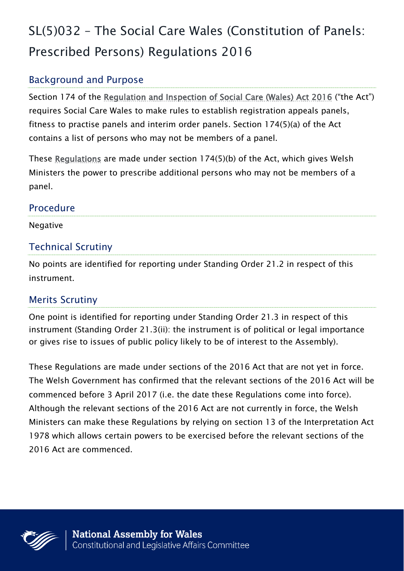# SL(5)032 – The Social Care Wales (Constitution of Panels: Prescribed Persons) Regulations 2016

# Background and Purpose

Section 174 of the [Regulation and Inspection of Social Care \(Wales\) Act 2016](http://www.legislation.gov.uk/anaw/2016/2/contents) ("the Act") requires Social Care Wales to make rules to establish registration appeals panels, fitness to practise panels and interim order panels. Section 174(5)(a) of the Act contains a list of persons who may not be members of a panel.

These [Regulations](http://senedd.assembly.wales/documents/s56315/SL5032%20-%20The%20Social%20Care%20Wales%20Constitution%20of%20Panels%20Prescribed%20Persons%20Regulations%202016.pdf) are made under section 174(5)(b) of the Act, which gives Welsh Ministers the power to prescribe additional persons who may not be members of a panel.

#### Procedure

Negative

#### Technical Scrutiny

No points are identified for reporting under Standing Order 21.2 in respect of this instrument.

### Merits Scrutiny

One point is identified for reporting under Standing Order 21.3 in respect of this instrument (Standing Order 21.3(ii): the instrument is of political or legal importance or gives rise to issues of public policy likely to be of interest to the Assembly).

These Regulations are made under sections of the 2016 Act that are not yet in force. The Welsh Government has confirmed that the relevant sections of the 2016 Act will be commenced before 3 April 2017 (i.e. the date these Regulations come into force). Although the relevant sections of the 2016 Act are not currently in force, the Welsh Ministers can make these Regulations by relying on section 13 of the Interpretation Act 1978 which allows certain powers to be exercised before the relevant sections of the 2016 Act are commenced.